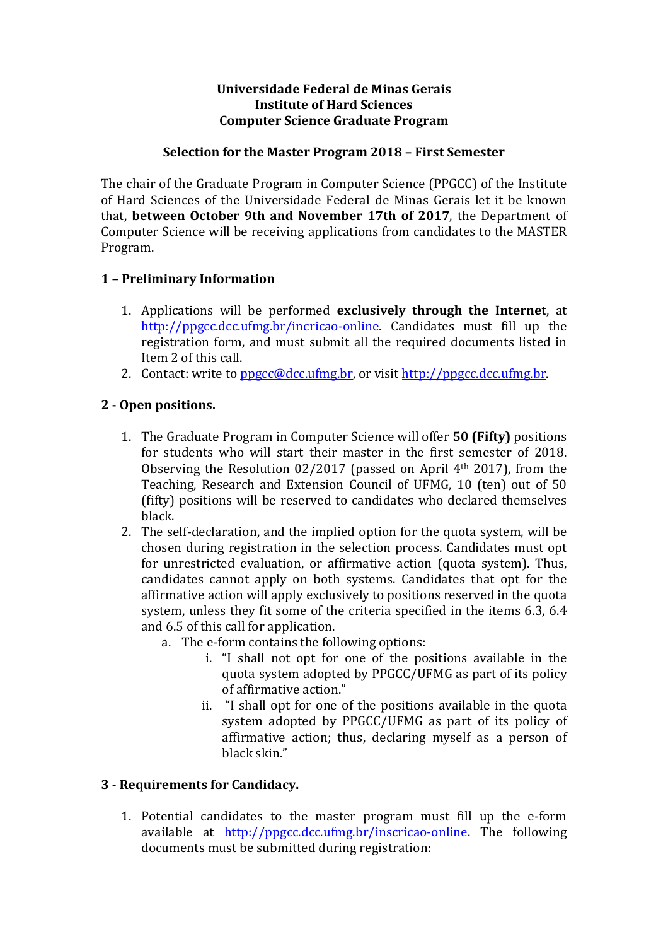## Universidade Federal de Minas Gerais Institute of Hard Sciences Computer Science Graduate Program

## Selection for the Master Program 2018 – First Semester

The chair of the Graduate Program in Computer Science (PPGCC) of the Institute of Hard Sciences of the Universidade Federal de Minas Gerais let it be known that, between October 9th and November 17th of 2017, the Department of Computer Science will be receiving applications from candidates to the MASTER Program.

# 1 – Preliminary Information

- 1. Applications will be performed exclusively through the Internet, at http://ppgcc.dcc.ufmg.br/incricao-online. Candidates must fill up the registration form, and must submit all the required documents listed in Item 2 of this call.
- 2. Contact: write to ppgcc@dcc.ufmg.br, or visit http://ppgcc.dcc.ufmg.br.

# 2 - Open positions.

- 1. The Graduate Program in Computer Science will offer 50 (Fifty) positions for students who will start their master in the first semester of 2018. Observing the Resolution 02/2017 (passed on April 4th 2017), from the Teaching, Research and Extension Council of UFMG, 10 (ten) out of 50 (fifty) positions will be reserved to candidates who declared themselves black.
- 2. The self-declaration, and the implied option for the quota system, will be chosen during registration in the selection process. Candidates must opt for unrestricted evaluation, or affirmative action (quota system). Thus, candidates cannot apply on both systems. Candidates that opt for the affirmative action will apply exclusively to positions reserved in the quota system, unless they fit some of the criteria specified in the items 6.3, 6.4 and 6.5 of this call for application.
	- a. The e-form contains the following options:
		- i. "I shall not opt for one of the positions available in the quota system adopted by PPGCC/UFMG as part of its policy of affirmative action."
		- ii. "I shall opt for one of the positions available in the quota system adopted by PPGCC/UFMG as part of its policy of affirmative action; thus, declaring myself as a person of black skin."

# 3 - Requirements for Candidacy.

1. Potential candidates to the master program must fill up the e-form available at http://ppgcc.dcc.ufmg.br/inscricao-online. The following documents must be submitted during registration: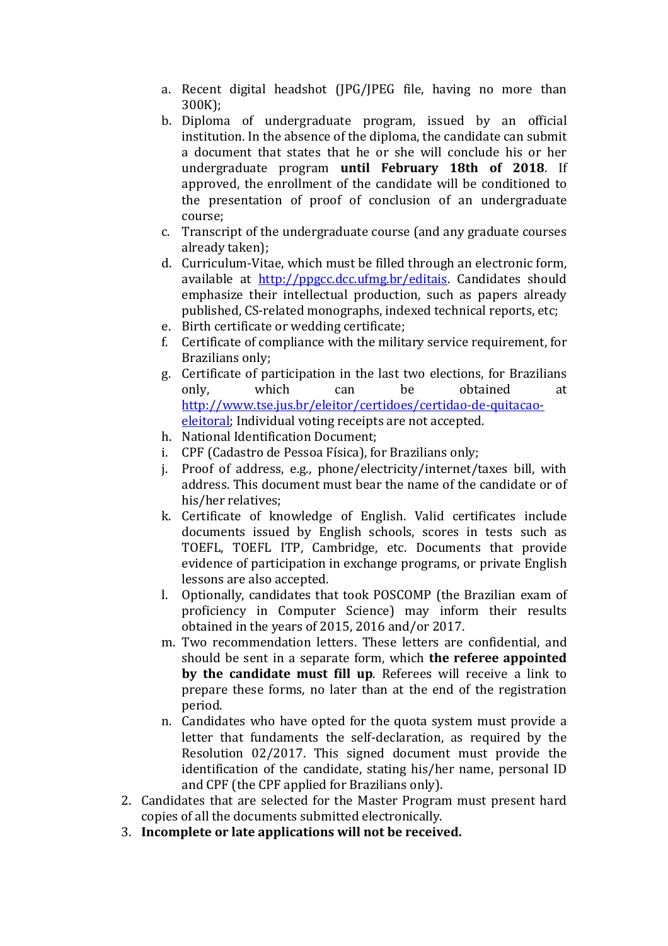- a. Recent digital headshot (JPG/JPEG file, having no more than 300K);
- b. Diploma of undergraduate program, issued by an official institution. In the absence of the diploma, the candidate can submit a document that states that he or she will conclude his or her undergraduate program until February 18th of 2018. If approved, the enrollment of the candidate will be conditioned to the presentation of proof of conclusion of an undergraduate course;
- c. Transcript of the undergraduate course (and any graduate courses already taken);
- d. Curriculum-Vitae, which must be filled through an electronic form, available at http://ppgcc.dcc.ufmg.br/editais. Candidates should emphasize their intellectual production, such as papers already published, CS-related monographs, indexed technical reports, etc;
- e. Birth certificate or wedding certificate;
- f. Certificate of compliance with the military service requirement, for Brazilians only;
- g. Certificate of participation in the last two elections, for Brazilians only, which can be obtained at http://www.tse.jus.br/eleitor/certidoes/certidao-de-quitacaoeleitoral; Individual voting receipts are not accepted.
- h. National Identification Document;
- i. CPF (Cadastro de Pessoa Física), for Brazilians only;
- j. Proof of address, e.g., phone/electricity/internet/taxes bill, with address. This document must bear the name of the candidate or of his/her relatives;
- k. Certificate of knowledge of English. Valid certificates include documents issued by English schools, scores in tests such as TOEFL, TOEFL ITP, Cambridge, etc. Documents that provide evidence of participation in exchange programs, or private English lessons are also accepted.
- l. Optionally, candidates that took POSCOMP (the Brazilian exam of proficiency in Computer Science) may inform their results obtained in the years of 2015, 2016 and/or 2017.
- m. Two recommendation letters. These letters are confidential, and should be sent in a separate form, which **the referee appointed** by the candidate must fill up. Referees will receive a link to prepare these forms, no later than at the end of the registration period.
- n. Candidates who have opted for the quota system must provide a letter that fundaments the self-declaration, as required by the Resolution 02/2017. This signed document must provide the identification of the candidate, stating his/her name, personal ID and CPF (the CPF applied for Brazilians only).
- 2. Candidates that are selected for the Master Program must present hard copies of all the documents submitted electronically.
- 3. Incomplete or late applications will not be received.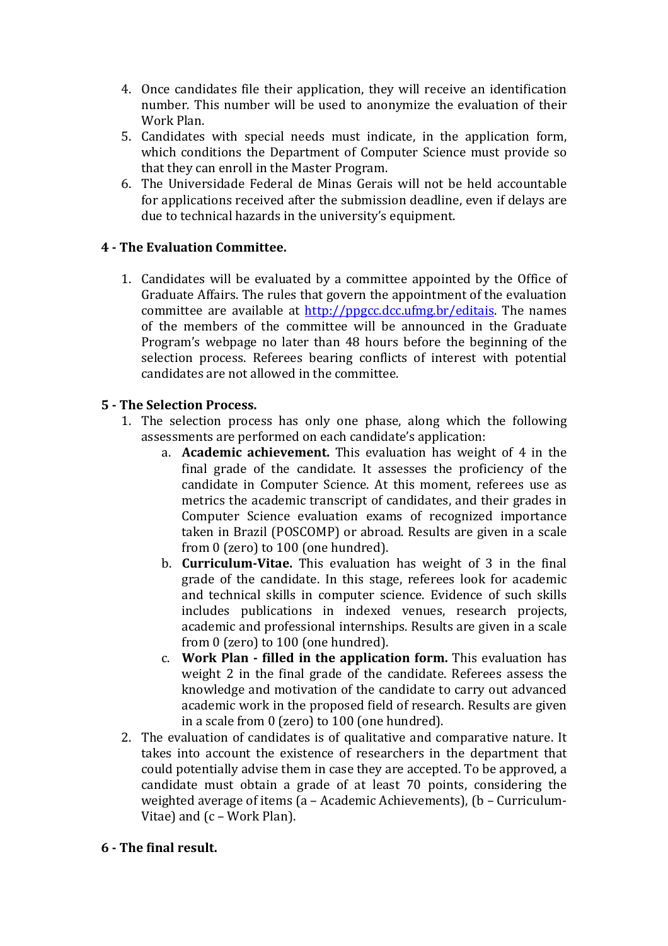- 4. Once candidates file their application, they will receive an identification number. This number will be used to anonymize the evaluation of their Work Plan.
- 5. Candidates with special needs must indicate, in the application form, which conditions the Department of Computer Science must provide so that they can enroll in the Master Program.
- 6. The Universidade Federal de Minas Gerais will not be held accountable for applications received after the submission deadline, even if delays are due to technical hazards in the university's equipment.

# 4 - The Evaluation Committee.

1. Candidates will be evaluated by a committee appointed by the Office of Graduate Affairs. The rules that govern the appointment of the evaluation committee are available at http://ppgcc.dcc.ufmg.br/editais. The names of the members of the committee will be announced in the Graduate Program's webpage no later than 48 hours before the beginning of the selection process. Referees bearing conflicts of interest with potential candidates are not allowed in the committee.

# 5 - The Selection Process.

- 1. The selection process has only one phase, along which the following assessments are performed on each candidate's application:
	- a. Academic achievement. This evaluation has weight of 4 in the final grade of the candidate. It assesses the proficiency of the candidate in Computer Science. At this moment, referees use as metrics the academic transcript of candidates, and their grades in Computer Science evaluation exams of recognized importance taken in Brazil (POSCOMP) or abroad. Results are given in a scale from 0 (zero) to 100 (one hundred).
	- b. Curriculum-Vitae. This evaluation has weight of 3 in the final grade of the candidate. In this stage, referees look for academic and technical skills in computer science. Evidence of such skills includes publications in indexed venues, research projects, academic and professional internships. Results are given in a scale from 0 (zero) to 100 (one hundred).
	- c. Work Plan filled in the application form. This evaluation has weight 2 in the final grade of the candidate. Referees assess the knowledge and motivation of the candidate to carry out advanced academic work in the proposed field of research. Results are given in a scale from 0 (zero) to 100 (one hundred).
- 2. The evaluation of candidates is of qualitative and comparative nature. It takes into account the existence of researchers in the department that could potentially advise them in case they are accepted. To be approved, a candidate must obtain a grade of at least 70 points, considering the weighted average of items (a – Academic Achievements), (b – Curriculum-Vitae) and (c – Work Plan).

### 6 - The final result.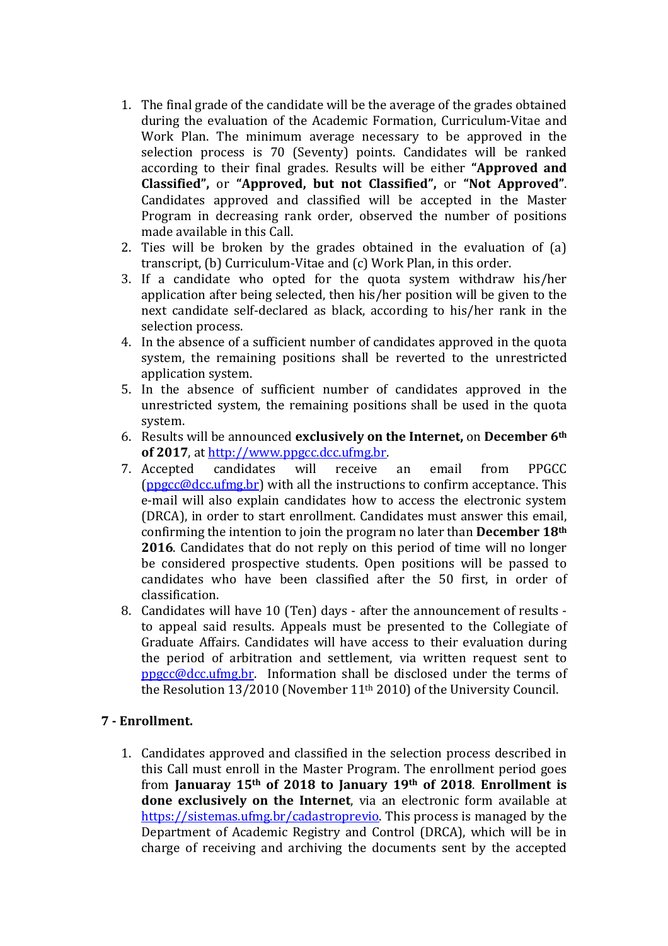- 1. The final grade of the candidate will be the average of the grades obtained during the evaluation of the Academic Formation, Curriculum-Vitae and Work Plan. The minimum average necessary to be approved in the selection process is 70 (Seventy) points. Candidates will be ranked according to their final grades. Results will be either "Approved and Classified", or "Approved, but not Classified", or "Not Approved". Candidates approved and classified will be accepted in the Master Program in decreasing rank order, observed the number of positions made available in this Call.
- 2. Ties will be broken by the grades obtained in the evaluation of (a) transcript, (b) Curriculum-Vitae and (c) Work Plan, in this order.
- 3. If a candidate who opted for the quota system withdraw his/her application after being selected, then his/her position will be given to the next candidate self-declared as black, according to his/her rank in the selection process.
- 4. In the absence of a sufficient number of candidates approved in the quota system, the remaining positions shall be reverted to the unrestricted application system.
- 5. In the absence of sufficient number of candidates approved in the unrestricted system, the remaining positions shall be used in the quota system.
- 6. Results will be announced exclusively on the Internet, on December 6th of 2017, at http://www.ppgcc.dcc.ufmg.br.
- 7. Accepted candidates will receive an email from PPGCC  $(ppgcc@dc.ufmg.br)$  with all the instructions to confirm acceptance. This e-mail will also explain candidates how to access the electronic system (DRCA), in order to start enrollment. Candidates must answer this email, confirming the intention to join the program no later than December 18th 2016. Candidates that do not reply on this period of time will no longer be considered prospective students. Open positions will be passed to candidates who have been classified after the 50 first, in order of classification.
- 8. Candidates will have 10 (Ten) days after the announcement of results to appeal said results. Appeals must be presented to the Collegiate of Graduate Affairs. Candidates will have access to their evaluation during the period of arbitration and settlement, via written request sent to  $ppcc@dec.$ ufmg.br. Information shall be disclosed under the terms of the Resolution 13/2010 (November 11th 2010) of the University Council.

### 7 - Enrollment.

1. Candidates approved and classified in the selection process described in this Call must enroll in the Master Program. The enrollment period goes from Januaray 15th of 2018 to January 19th of 2018. Enrollment is done exclusively on the Internet, via an electronic form available at https://sistemas.ufmg.br/cadastroprevio. This process is managed by the Department of Academic Registry and Control (DRCA), which will be in charge of receiving and archiving the documents sent by the accepted